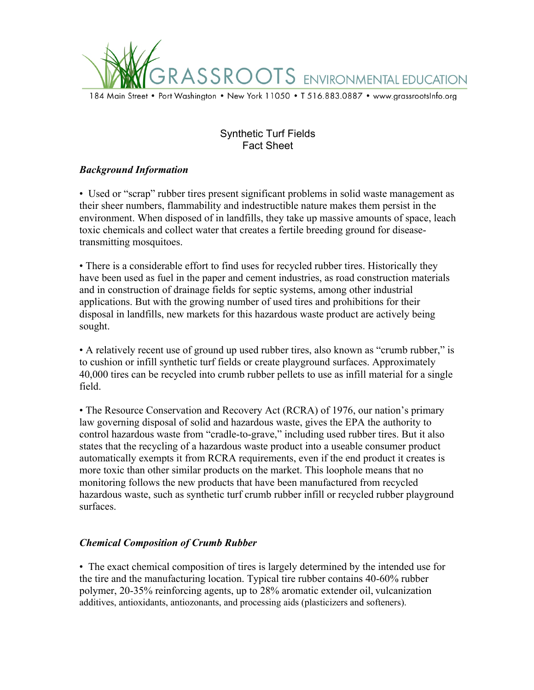

# Synthetic Turf Fields Fact Sheet

## *Background Information*

• Used or "scrap" rubber tires present significant problems in solid waste management as their sheer numbers, flammability and indestructible nature makes them persist in the environment. When disposed of in landfills, they take up massive amounts of space, leach toxic chemicals and collect water that creates a fertile breeding ground for diseasetransmitting mosquitoes.

• There is a considerable effort to find uses for recycled rubber tires. Historically they have been used as fuel in the paper and cement industries, as road construction materials and in construction of drainage fields for septic systems, among other industrial applications. But with the growing number of used tires and prohibitions for their disposal in landfills, new markets for this hazardous waste product are actively being sought.

• A relatively recent use of ground up used rubber tires, also known as "crumb rubber," is to cushion or infill synthetic turf fields or create playground surfaces. Approximately 40,000 tires can be recycled into crumb rubber pellets to use as infill material for a single field.

• The Resource Conservation and Recovery Act (RCRA) of 1976, our nation's primary law governing disposal of solid and hazardous waste, gives the EPA the authority to control hazardous waste from "cradle-to-grave," including used rubber tires. But it also states that the recycling of a hazardous waste product into a useable consumer product automatically exempts it from RCRA requirements, even if the end product it creates is more toxic than other similar products on the market. This loophole means that no monitoring follows the new products that have been manufactured from recycled hazardous waste, such as synthetic turf crumb rubber infill or recycled rubber playground surfaces.

#### *Chemical Composition of Crumb Rubber*

• The exact chemical composition of tires is largely determined by the intended use for the tire and the manufacturing location. Typical tire rubber contains 40-60% rubber polymer, 20-35% reinforcing agents, up to 28% aromatic extender oil, vulcanization additives, antioxidants, antiozonants, and processing aids (plasticizers and softeners).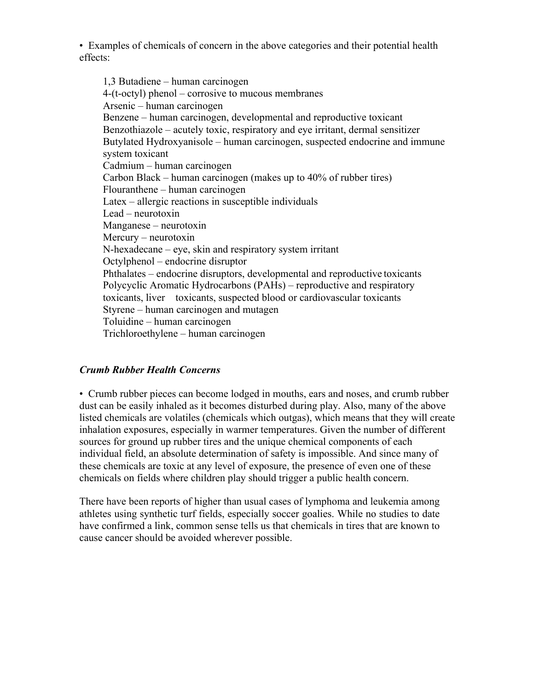• Examples of chemicals of concern in the above categories and their potential health effects:

1,3 Butadiene – human carcinogen 4-(t-octyl) phenol – corrosive to mucous membranes Arsenic – human carcinogen Benzene – human carcinogen, developmental and reproductive toxicant Benzothiazole – acutely toxic, respiratory and eye irritant, dermal sensitizer Butylated Hydroxyanisole – human carcinogen, suspected endocrine and immune system toxicant Cadmium – human carcinogen Carbon Black – human carcinogen (makes up to 40% of rubber tires) Flouranthene – human carcinogen Latex – allergic reactions in susceptible individuals Lead – neurotoxin Manganese – neurotoxin Mercury – neurotoxin N-hexadecane – eye, skin and respiratory system irritant Octylphenol – endocrine disruptor Phthalates – endocrine disruptors, developmental and reproductive toxicants Polycyclic Aromatic Hydrocarbons (PAHs) – reproductive and respiratory toxicants, liver toxicants, suspected blood or cardiovascular toxicants Styrene – human carcinogen and mutagen Toluidine – human carcinogen Trichloroethylene – human carcinogen

## *Crumb Rubber Health Concerns*

• Crumb rubber pieces can become lodged in mouths, ears and noses, and crumb rubber dust can be easily inhaled as it becomes disturbed during play. Also, many of the above listed chemicals are volatiles (chemicals which outgas), which means that they will create inhalation exposures, especially in warmer temperatures. Given the number of different sources for ground up rubber tires and the unique chemical components of each individual field, an absolute determination of safety is impossible. And since many of these chemicals are toxic at any level of exposure, the presence of even one of these chemicals on fields where children play should trigger a public health concern.

There have been reports of higher than usual cases of lymphoma and leukemia among athletes using synthetic turf fields, especially soccer goalies. While no studies to date have confirmed a link, common sense tells us that chemicals in tires that are known to cause cancer should be avoided wherever possible.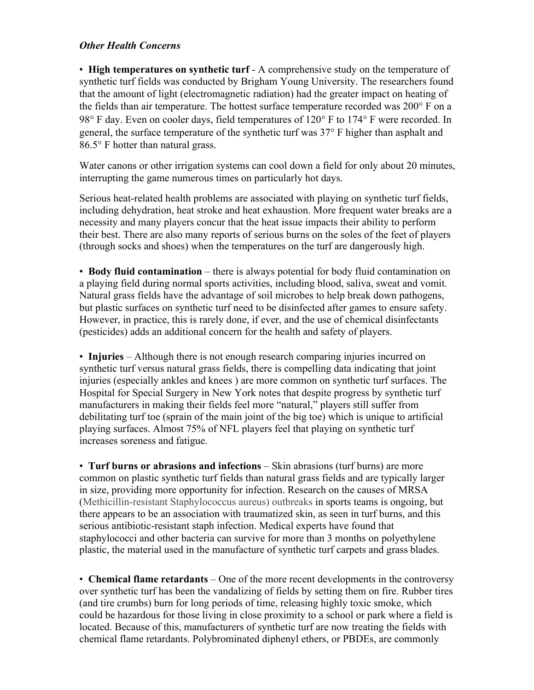### *Other Health Concerns*

• **High temperatures on synthetic turf** - A comprehensive study on the temperature of synthetic turf fields was conducted by Brigham Young University. The researchers found that the amount of light (electromagnetic radiation) had the greater impact on heating of the fields than air temperature. The hottest surface temperature recorded was 200° F on a 98° F day. Even on cooler days, field temperatures of 120° F to 174° F were recorded. In general, the surface temperature of the synthetic turf was 37° F higher than asphalt and 86.5° F hotter than natural grass.

Water canons or other irrigation systems can cool down a field for only about 20 minutes, interrupting the game numerous times on particularly hot days.

Serious heat-related health problems are associated with playing on synthetic turf fields, including dehydration, heat stroke and heat exhaustion. More frequent water breaks are a necessity and many players concur that the heat issue impacts their ability to perform their best. There are also many reports of serious burns on the soles of the feet of players (through socks and shoes) when the temperatures on the turf are dangerously high.

• **Body fluid contamination** – there is always potential for body fluid contamination on a playing field during normal sports activities, including blood, saliva, sweat and vomit. Natural grass fields have the advantage of soil microbes to help break down pathogens, but plastic surfaces on synthetic turf need to be disinfected after games to ensure safety. However, in practice, this is rarely done, if ever, and the use of chemical disinfectants (pesticides) adds an additional concern for the health and safety of players.

• **Injuries** – Although there is not enough research comparing injuries incurred on synthetic turf versus natural grass fields, there is compelling data indicating that joint injuries (especially ankles and knees ) are more common on synthetic turf surfaces. The Hospital for Special Surgery in New York notes that despite progress by synthetic turf manufacturers in making their fields feel more "natural," players still suffer from debilitating turf toe (sprain of the main joint of the big toe) which is unique to artificial playing surfaces. Almost 75% of NFL players feel that playing on synthetic turf increases soreness and fatigue.

• **Turf burns or abrasions and infections** – Skin abrasions (turf burns) are more common on plastic synthetic turf fields than natural grass fields and are typically larger in size, providing more opportunity for infection. Research on the causes of MRSA (Methicillin-resistant Staphylococcus aureus) outbreaks in sports teams is ongoing, but there appears to be an association with traumatized skin, as seen in turf burns, and this serious antibiotic-resistant staph infection. Medical experts have found that staphylococci and other bacteria can survive for more than 3 months on polyethylene plastic, the material used in the manufacture of synthetic turf carpets and grass blades.

• **Chemical flame retardants** – One of the more recent developments in the controversy over synthetic turf has been the vandalizing of fields by setting them on fire. Rubber tires (and tire crumbs) burn for long periods of time, releasing highly toxic smoke, which could be hazardous for those living in close proximity to a school or park where a field is located. Because of this, manufacturers of synthetic turf are now treating the fields with chemical flame retardants. Polybrominated diphenyl ethers, or PBDEs, are commonly